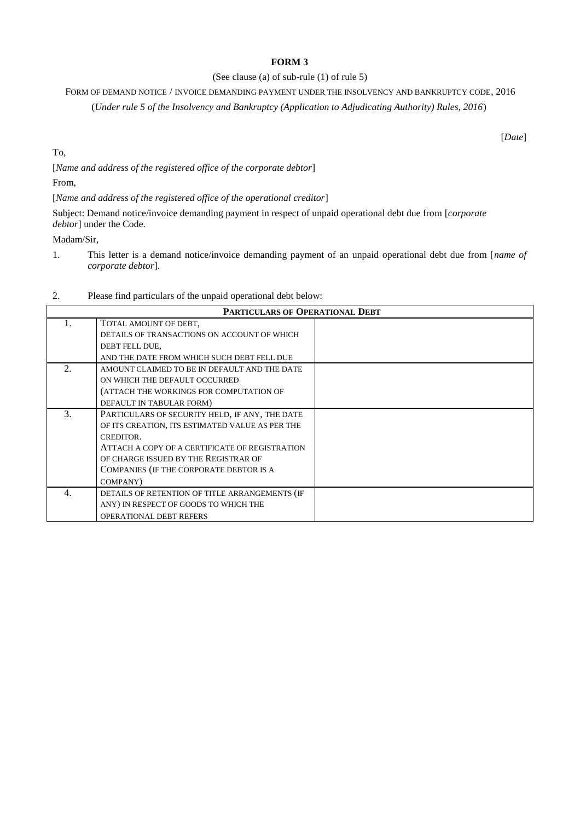## **FORM 3**

## (See clause (a) of sub-rule (1) of rule 5)

FORM OF DEMAND NOTICE / INVOICE DEMANDING PAYMENT UNDER THE INSOLVENCY AND BANKRUPTCY CODE, 2016

(*Under rule 5 of the Insolvency and Bankruptcy (Application to Adjudicating Authority) Rules, 2016*)

[*Date*]

To,

[*Name and address of the registered office of the corporate debtor*]

From,

[*Name and address of the registered office of the operational creditor*]

Subject: Demand notice/invoice demanding payment in respect of unpaid operational debt due from [*corporate debtor*] under the Code.

Madam/Sir,

1. This letter is a demand notice/invoice demanding payment of an unpaid operational debt due from [*name of corporate debtor*].

| <b>PARTICULARS OF OPERATIONAL DEBT</b> |                                                 |  |
|----------------------------------------|-------------------------------------------------|--|
| 1.                                     | TOTAL AMOUNT OF DEBT,                           |  |
|                                        | DETAILS OF TRANSACTIONS ON ACCOUNT OF WHICH     |  |
|                                        | DEBT FELL DUE,                                  |  |
|                                        | AND THE DATE FROM WHICH SUCH DEBT FELL DUE      |  |
| 2.                                     | AMOUNT CLAIMED TO BE IN DEFAULT AND THE DATE    |  |
|                                        | ON WHICH THE DEFAULT OCCURRED                   |  |
|                                        | (ATTACH THE WORKINGS FOR COMPUTATION OF         |  |
|                                        | DEFAULT IN TABULAR FORM)                        |  |
| $\mathcal{F}_{\mathcal{L}}$            | PARTICULARS OF SECURITY HELD, IF ANY, THE DATE  |  |
|                                        | OF ITS CREATION, ITS ESTIMATED VALUE AS PER THE |  |
|                                        | CREDITOR.                                       |  |
|                                        | ATTACH A COPY OF A CERTIFICATE OF REGISTRATION  |  |
|                                        | OF CHARGE ISSUED BY THE REGISTRAR OF            |  |
|                                        | COMPANIES (IF THE CORPORATE DEBTOR IS A         |  |
|                                        | COMPANY)                                        |  |
| 4.                                     | DETAILS OF RETENTION OF TITLE ARRANGEMENTS (IF  |  |
|                                        | ANY) IN RESPECT OF GOODS TO WHICH THE           |  |
|                                        | <b>OPERATIONAL DEBT REFERS</b>                  |  |

## 2. Please find particulars of the unpaid operational debt below: